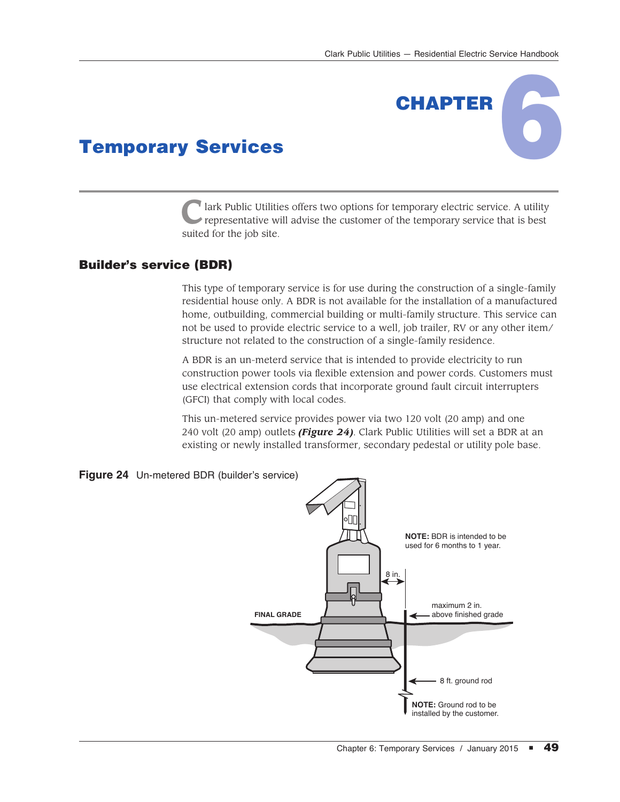CHAPTER

## Temporary Services

**C**lark Public Utilities offers two options for temporary electric service. A utility representative will advise the customer of the temporary service that is best suited for the job site.

## Builder's service (BDR)

This type of temporary service is for use during the construction of a single-family residential house only. A BDR is not available for the installation of a manufactured home, outbuilding, commercial building or multi-family structure. This service can not be used to provide electric service to a well, job trailer, RV or any other item/ structure not related to the construction of a single-family residence.

A BDR is an un-meterd service that is intended to provide electricity to run construction power tools via flexible extension and power cords. Customers must use electrical extension cords that incorporate ground fault circuit interrupters (GFCI) that comply with local codes.

This un-metered service provides power via two 120 volt (20 amp) and one 240 volt (20 amp) outlets *(Figure 24)*. Clark Public Utilities will set a BDR at an existing or newly installed transformer, secondary pedestal or utility pole base.